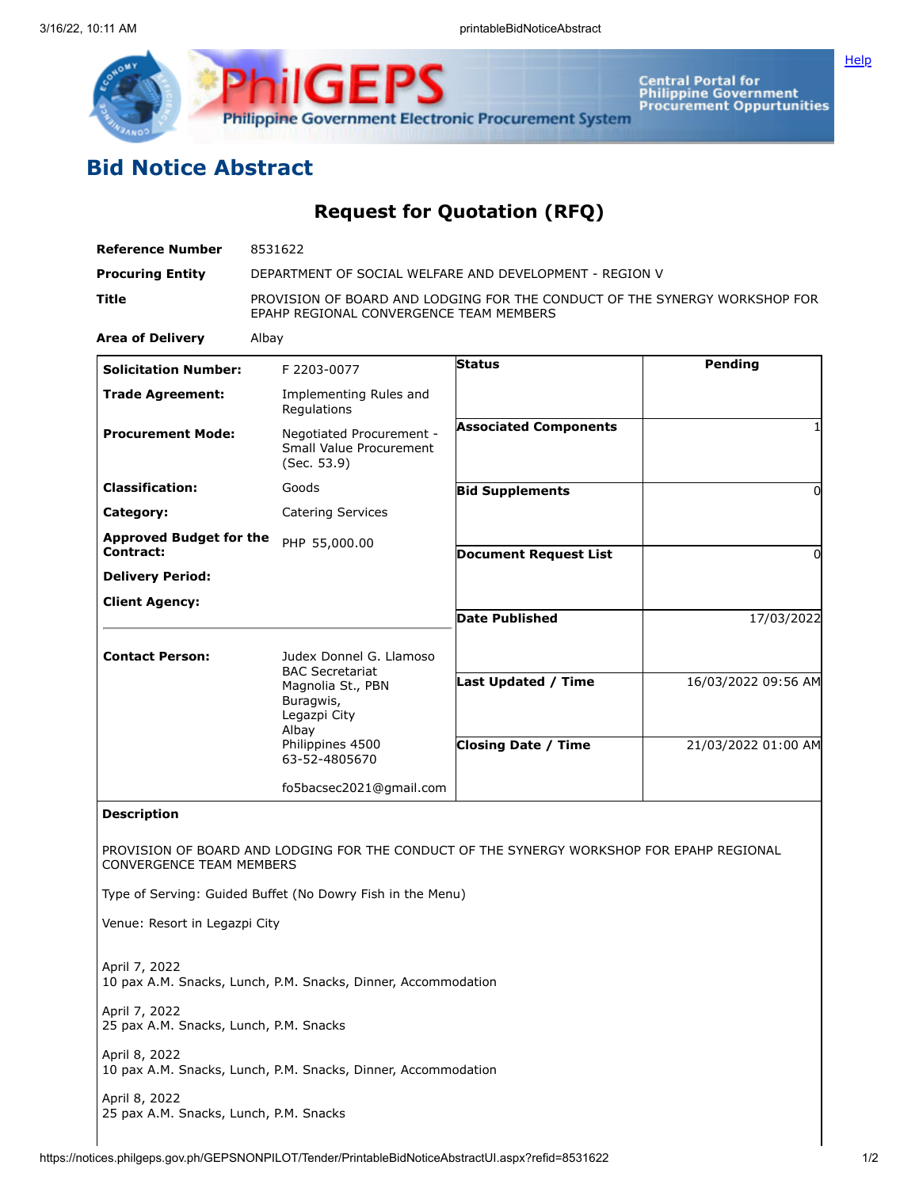



Central Portal for<br>Philippine Government<br>Procurement Oppurtunities

## **Bid Notice Abstract**

**Request for Quotation (RFQ)**

| <b>Reference Number</b>                                 | 8531622                                                                                                                                           |                                                                                           |                                            |
|---------------------------------------------------------|---------------------------------------------------------------------------------------------------------------------------------------------------|-------------------------------------------------------------------------------------------|--------------------------------------------|
| <b>Procuring Entity</b>                                 | DEPARTMENT OF SOCIAL WELFARE AND DEVELOPMENT - REGION V                                                                                           |                                                                                           |                                            |
| Title                                                   | PROVISION OF BOARD AND LODGING FOR THE CONDUCT OF THE SYNERGY WORKSHOP FOR<br>EPAHP REGIONAL CONVERGENCE TEAM MEMBERS                             |                                                                                           |                                            |
| <b>Area of Delivery</b>                                 | Albay                                                                                                                                             |                                                                                           |                                            |
| <b>Solicitation Number:</b>                             | F 2203-0077                                                                                                                                       | <b>Status</b>                                                                             | Pending                                    |
| <b>Trade Agreement:</b>                                 | Implementing Rules and<br>Regulations                                                                                                             |                                                                                           |                                            |
| <b>Procurement Mode:</b>                                | Negotiated Procurement -<br>Small Value Procurement<br>(Sec. 53.9)                                                                                | <b>Associated Components</b>                                                              |                                            |
| <b>Classification:</b>                                  | Goods                                                                                                                                             | <b>Bid Supplements</b>                                                                    | 0                                          |
| Category:                                               | <b>Catering Services</b>                                                                                                                          |                                                                                           |                                            |
| <b>Approved Budget for the</b><br><b>Contract:</b>      | PHP 55,000.00                                                                                                                                     | <b>Document Request List</b>                                                              | 0                                          |
| <b>Delivery Period:</b>                                 |                                                                                                                                                   |                                                                                           |                                            |
| <b>Client Agency:</b>                                   |                                                                                                                                                   | <b>Date Published</b>                                                                     | 17/03/2022                                 |
| <b>Contact Person:</b>                                  | Judex Donnel G. Llamoso<br><b>BAC Secretariat</b><br>Magnolia St., PBN<br>Buragwis,<br>Legazpi City<br>Albay<br>Philippines 4500<br>63-52-4805670 | Last Updated / Time<br><b>Closing Date / Time</b>                                         | 16/03/2022 09:56 AM<br>21/03/2022 01:00 AM |
|                                                         | fo5bacsec2021@gmail.com                                                                                                                           |                                                                                           |                                            |
| <b>Description</b>                                      |                                                                                                                                                   |                                                                                           |                                            |
| <b>CONVERGENCE TEAM MEMBERS</b>                         |                                                                                                                                                   | PROVISION OF BOARD AND LODGING FOR THE CONDUCT OF THE SYNERGY WORKSHOP FOR EPAHP REGIONAL |                                            |
|                                                         | Type of Serving: Guided Buffet (No Dowry Fish in the Menu)                                                                                        |                                                                                           |                                            |
| Venue: Resort in Legazpi City                           |                                                                                                                                                   |                                                                                           |                                            |
| April 7, 2022                                           | 10 pax A.M. Snacks, Lunch, P.M. Snacks, Dinner, Accommodation                                                                                     |                                                                                           |                                            |
| April 7, 2022<br>25 pax A.M. Snacks, Lunch, P.M. Snacks |                                                                                                                                                   |                                                                                           |                                            |
| April 8, 2022                                           | 10 pax A.M. Snacks, Lunch, P.M. Snacks, Dinner, Accommodation                                                                                     |                                                                                           |                                            |
| April 8, 2022                                           |                                                                                                                                                   |                                                                                           |                                            |

25 pax A.M. Snacks, Lunch, P.M. Snacks